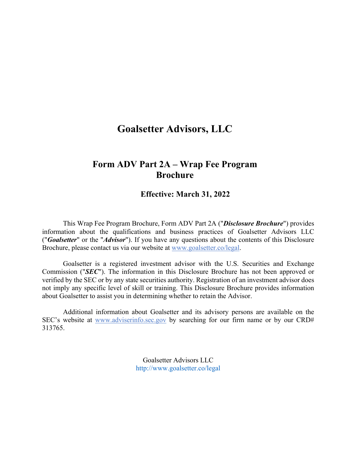# **Goalsetter Advisors, LLC**

# **Form ADV Part 2A – Wrap Fee Program Brochure**

# **Effective: March 31, 2022**

This Wrap Fee Program Brochure, Form ADV Part 2A ("*Disclosure Brochure*") provides information about the qualifications and business practices of Goalsetter Advisors LLC ("*Goalsetter*" or the "*Advisor*"). If you have any questions about the contents of this Disclosure Brochure, please contact us via our website at www.goalsetter.co/legal.

Goalsetter is a registered investment advisor with the U.S. Securities and Exchange Commission ("*SEC*"). The information in this Disclosure Brochure has not been approved or verified by the SEC or by any state securities authority. Registration of an investment advisor does not imply any specific level of skill or training. This Disclosure Brochure provides information about Goalsetter to assist you in determining whether to retain the Advisor.

Additional information about Goalsetter and its advisory persons are available on the SEC's website at www.adviserinfo.sec.gov by searching for our firm name or by our CRD# 313765.

> Goalsetter Advisors LLC http://www.goalsetter.co/legal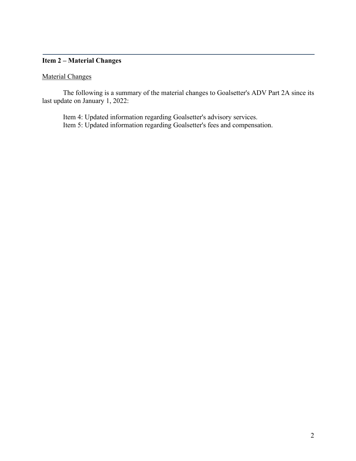# **Item 2 – Material Changes**

# Material Changes

The following is a summary of the material changes to Goalsetter's ADV Part 2A since its last update on January 1, 2022:

Item 4: Updated information regarding Goalsetter's advisory services. Item 5: Updated information regarding Goalsetter's fees and compensation.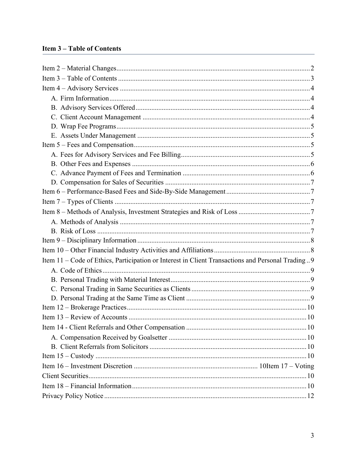# **Item 3-Table of Contents**

| Item 11 - Code of Ethics, Participation or Interest in Client Transactions and Personal Trading9 |
|--------------------------------------------------------------------------------------------------|
|                                                                                                  |
|                                                                                                  |
|                                                                                                  |
|                                                                                                  |
|                                                                                                  |
|                                                                                                  |
|                                                                                                  |
|                                                                                                  |
|                                                                                                  |
|                                                                                                  |
|                                                                                                  |
|                                                                                                  |
|                                                                                                  |
|                                                                                                  |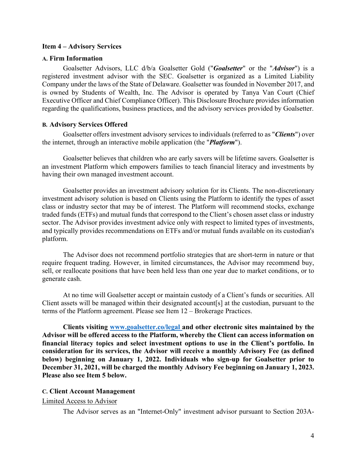#### **Item 4 – Advisory Services**

#### **A. Firm Information**

Goalsetter Advisors, LLC d/b/a Goalsetter Gold ("*Goalsetter*" or the "*Advisor*") is a registered investment advisor with the SEC. Goalsetter is organized as a Limited Liability Company under the laws of the State of Delaware. Goalsetter was founded in November 2017, and is owned by Students of Wealth, Inc. The Advisor is operated by Tanya Van Court (Chief Executive Officer and Chief Compliance Officer). This Disclosure Brochure provides information regarding the qualifications, business practices, and the advisory services provided by Goalsetter.

#### **B. Advisory Services Offered**

Goalsetter offers investment advisory services to individuals (referred to as "*Clients*") over the internet, through an interactive mobile application (the "*Platform*").

Goalsetter believes that children who are early savers will be lifetime savers. Goalsetter is an investment Platform which empowers families to teach financial literacy and investments by having their own managed investment account.

Goalsetter provides an investment advisory solution for its Clients. The non-discretionary investment advisory solution is based on Clients using the Platform to identify the types of asset class or industry sector that may be of interest. The Platform will recommend stocks, exchange traded funds (ETFs) and mutual funds that correspond to the Client's chosen asset class or industry sector. The Advisor provides investment advice only with respect to limited types of investments, and typically provides recommendations on ETFs and/or mutual funds available on its custodian's platform.

The Advisor does not recommend portfolio strategies that are short-term in nature or that require frequent trading. However, in limited circumstances, the Advisor may recommend buy, sell, or reallocate positions that have been held less than one year due to market conditions, or to generate cash.

At no time will Goalsetter accept or maintain custody of a Client's funds or securities. All Client assets will be managed within their designated account[s] at the custodian, pursuant to the terms of the Platform agreement. Please see Item 12 – Brokerage Practices.

**Clients visiting www.goalsetter.co/legal and other electronic sites maintained by the Advisor will be offered access to the Platform, whereby the Client can access information on financial literacy topics and select investment options to use in the Client's portfolio. In consideration for its services, the Advisor will receive a monthly Advisory Fee (as defined below) beginning on January 1, 2022. Individuals who sign-up for Goalsetter prior to December 31, 2021, will be charged the monthly Advisory Fee beginning on January 1, 2023. Please also see Item 5 below.**

### **C. Client Account Management**

#### Limited Access to Advisor

The Advisor serves as an "Internet-Only" investment advisor pursuant to Section 203A-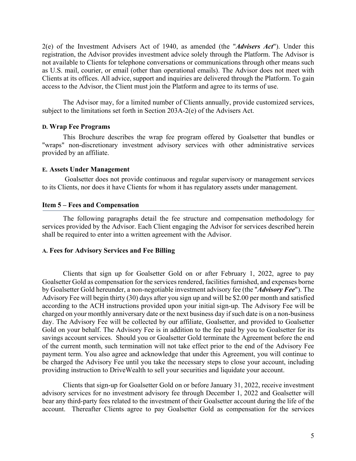2(e) of the Investment Advisers Act of 1940, as amended (the "*Advisers Act*"). Under this registration, the Advisor provides investment advice solely through the Platform. The Advisor is not available to Clients for telephone conversations or communications through other means such as U.S. mail, courier, or email (other than operational emails). The Advisor does not meet with Clients at its offices. All advice, support and inquiries are delivered through the Platform. To gain access to the Advisor, the Client must join the Platform and agree to its terms of use.

The Advisor may, for a limited number of Clients annually, provide customized services, subject to the limitations set forth in Section 203A-2(e) of the Advisers Act.

## **D. Wrap Fee Programs**

This Brochure describes the wrap fee program offered by Goalsetter that bundles or "wraps" non-discretionary investment advisory services with other administrative services provided by an affiliate.

### **E. Assets Under Management**

Goalsetter does not provide continuous and regular supervisory or management services to its Clients, nor does it have Clients for whom it has regulatory assets under management.

## **Item 5 – Fees and Compensation**

The following paragraphs detail the fee structure and compensation methodology for services provided by the Advisor. Each Client engaging the Advisor for services described herein shall be required to enter into a written agreement with the Advisor.

## **A. Fees for Advisory Services and Fee Billing**

Clients that sign up for Goalsetter Gold on or after February 1, 2022, agree to pay Goalsetter Gold as compensation for the services rendered, facilities furnished, and expenses borne by Goalsetter Gold hereunder, a non-negotiable investment advisory fee (the "*Advisory Fee*"). The Advisory Fee will begin thirty (30) days after you sign up and will be \$2.00 per month and satisfied according to the ACH instructions provided upon your initial sign-up. The Advisory Fee will be charged on your monthly anniversary date or the next business day if such date is on a non-business day. The Advisory Fee will be collected by our affiliate, Goalsetter, and provided to Goalsetter Gold on your behalf. The Advisory Fee is in addition to the fee paid by you to Goalsetter for its savings account services. Should you or Goalsetter Gold terminate the Agreement before the end of the current month, such termination will not take effect prior to the end of the Advisory Fee payment term. You also agree and acknowledge that under this Agreement, you will continue to be charged the Advisory Fee until you take the necessary steps to close your account, including providing instruction to DriveWealth to sell your securities and liquidate your account.

Clients that sign-up for Goalsetter Gold on or before January 31, 2022, receive investment advisory services for no investment advisory fee through December 1, 2022 and Goalsetter will bear any third-party fees related to the investment of their Goalsetter account during the life of the account. Thereafter Clients agree to pay Goalsetter Gold as compensation for the services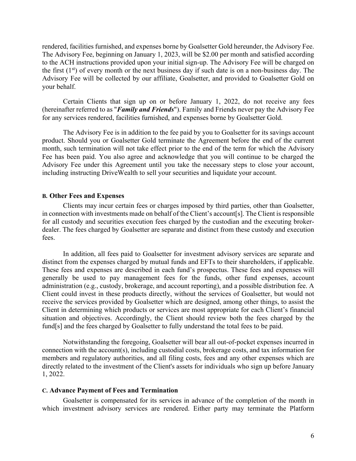rendered, facilities furnished, and expenses borne by Goalsetter Gold hereunder, the Advisory Fee. The Advisory Fee, beginning on January 1, 2023, will be \$2.00 per month and satisfied according to the ACH instructions provided upon your initial sign-up. The Advisory Fee will be charged on the first  $(1<sup>st</sup>)$  of every month or the next business day if such date is on a non-business day. The Advisory Fee will be collected by our affiliate, Goalsetter, and provided to Goalsetter Gold on your behalf.

Certain Clients that sign up on or before January 1, 2022, do not receive any fees (hereinafter referred to as "*Family and Friends*"). Family and Friends never pay the Advisory Fee for any services rendered, facilities furnished, and expenses borne by Goalsetter Gold.

The Advisory Fee is in addition to the fee paid by you to Goalsetter for its savings account product. Should you or Goalsetter Gold terminate the Agreement before the end of the current month, such termination will not take effect prior to the end of the term for which the Advisory Fee has been paid. You also agree and acknowledge that you will continue to be charged the Advisory Fee under this Agreement until you take the necessary steps to close your account, including instructing DriveWealth to sell your securities and liquidate your account.

#### **B. Other Fees and Expenses**

Clients may incur certain fees or charges imposed by third parties, other than Goalsetter, in connection with investments made on behalf of the Client's account[s]. The Client is responsible for all custody and securities execution fees charged by the custodian and the executing brokerdealer. The fees charged by Goalsetter are separate and distinct from these custody and execution fees.

In addition, all fees paid to Goalsetter for investment advisory services are separate and distinct from the expenses charged by mutual funds and EFTs to their shareholders, if applicable. These fees and expenses are described in each fund's prospectus. These fees and expenses will generally be used to pay management fees for the funds, other fund expenses, account administration (e.g., custody, brokerage, and account reporting), and a possible distribution fee. A Client could invest in these products directly, without the services of Goalsetter, but would not receive the services provided by Goalsetter which are designed, among other things, to assist the Client in determining which products or services are most appropriate for each Client's financial situation and objectives. Accordingly, the Client should review both the fees charged by the fund[s] and the fees charged by Goalsetter to fully understand the total fees to be paid.

Notwithstanding the foregoing, Goalsetter will bear all out-of-pocket expenses incurred in connection with the account(s), including custodial costs, brokerage costs, and tax information for members and regulatory authorities, and all filing costs, fees and any other expenses which are directly related to the investment of the Client's assets for individuals who sign up before January 1, 2022.

#### **C. Advance Payment of Fees and Termination**

Goalsetter is compensated for its services in advance of the completion of the month in which investment advisory services are rendered. Either party may terminate the Platform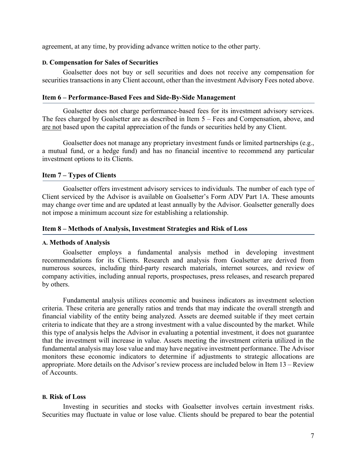agreement, at any time, by providing advance written notice to the other party.

#### **D. Compensation for Sales of Securities**

Goalsetter does not buy or sell securities and does not receive any compensation for securities transactions in any Client account, other than the investment Advisory Fees noted above.

## **Item 6 – Performance-Based Fees and Side-By-Side Management**

Goalsetter does not charge performance-based fees for its investment advisory services. The fees charged by Goalsetter are as described in Item 5 – Fees and Compensation, above, and are not based upon the capital appreciation of the funds or securities held by any Client.

Goalsetter does not manage any proprietary investment funds or limited partnerships (e.g., a mutual fund, or a hedge fund) and has no financial incentive to recommend any particular investment options to its Clients.

#### **Item 7 – Types of Clients**

Goalsetter offers investment advisory services to individuals. The number of each type of Client serviced by the Advisor is available on Goalsetter's Form ADV Part 1A. These amounts may change over time and are updated at least annually by the Advisor. Goalsetter generally does not impose a minimum account size for establishing a relationship.

#### **Item 8 – Methods of Analysis, Investment Strategies and Risk of Loss**

#### **A. Methods of Analysis**

Goalsetter employs a fundamental analysis method in developing investment recommendations for its Clients. Research and analysis from Goalsetter are derived from numerous sources, including third-party research materials, internet sources, and review of company activities, including annual reports, prospectuses, press releases, and research prepared by others.

Fundamental analysis utilizes economic and business indicators as investment selection criteria. These criteria are generally ratios and trends that may indicate the overall strength and financial viability of the entity being analyzed. Assets are deemed suitable if they meet certain criteria to indicate that they are a strong investment with a value discounted by the market. While this type of analysis helps the Advisor in evaluating a potential investment, it does not guarantee that the investment will increase in value. Assets meeting the investment criteria utilized in the fundamental analysis may lose value and may have negative investment performance. The Advisor monitors these economic indicators to determine if adjustments to strategic allocations are appropriate. More details on the Advisor's review process are included below in Item 13 – Review of Accounts.

## **B. Risk of Loss**

Investing in securities and stocks with Goalsetter involves certain investment risks. Securities may fluctuate in value or lose value. Clients should be prepared to bear the potential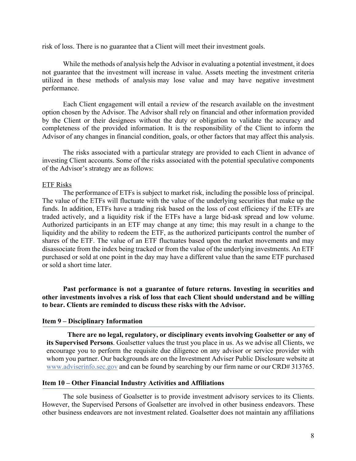risk of loss. There is no guarantee that a Client will meet their investment goals.

While the methods of analysis help the Advisor in evaluating a potential investment, it does not guarantee that the investment will increase in value. Assets meeting the investment criteria utilized in these methods of analysis may lose value and may have negative investment performance.

Each Client engagement will entail a review of the research available on the investment option chosen by the Advisor. The Advisor shall rely on financial and other information provided by the Client or their designees without the duty or obligation to validate the accuracy and completeness of the provided information. It is the responsibility of the Client to inform the Advisor of any changes in financial condition, goals, or other factors that may affect this analysis.

The risks associated with a particular strategy are provided to each Client in advance of investing Client accounts. Some of the risks associated with the potential speculative components of the Advisor's strategy are as follows:

#### ETF Risks

The performance of ETFs is subject to market risk, including the possible loss of principal. The value of the ETFs will fluctuate with the value of the underlying securities that make up the funds. In addition, ETFs have a trading risk based on the loss of cost efficiency if the ETFs are traded actively, and a liquidity risk if the ETFs have a large bid-ask spread and low volume. Authorized participants in an ETF may change at any time; this may result in a change to the liquidity and the ability to redeem the ETF, as the authorized participants control the number of shares of the ETF. The value of an ETF fluctuates based upon the market movements and may disassociate from the index being tracked or from the value of the underlying investments. An ETF purchased or sold at one point in the day may have a different value than the same ETF purchased or sold a short time later.

**Past performance is not a guarantee of future returns. Investing in securities and other investments involves a risk of loss that each Client should understand and be willing to bear. Clients are reminded to discuss these risks with the Advisor.**

#### **Item 9 – Disciplinary Information**

**There are no legal, regulatory, or disciplinary events involving Goalsetter or any of its Supervised Persons**. Goalsetter values the trust you place in us. As we advise all Clients, we encourage you to perform the requisite due diligence on any advisor or service provider with whom you partner. Our backgrounds are on the Investment Adviser Public Disclosure website at www.adviserinfo.sec.gov and can be found by searching by our firm name or our CRD# 313765.

#### **Item 10 – Other Financial Industry Activities and Affiliations**

The sole business of Goalsetter is to provide investment advisory services to its Clients. However, the Supervised Persons of Goalsetter are involved in other business endeavors. These other business endeavors are not investment related. Goalsetter does not maintain any affiliations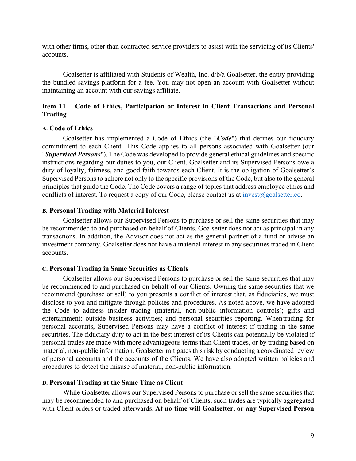with other firms, other than contracted service providers to assist with the servicing of its Clients' accounts.

Goalsetter is affiliated with Students of Wealth, Inc. d/b/a Goalsetter, the entity providing the bundled savings platform for a fee. You may not open an account with Goalsetter without maintaining an account with our savings affiliate.

# **Item 11 – Code of Ethics, Participation or Interest in Client Transactions and Personal Trading**

#### **A. Code of Ethics**

Goalsetter has implemented a Code of Ethics (the "*Code*") that defines our fiduciary commitment to each Client. This Code applies to all persons associated with Goalsetter (our "*Supervised Persons*"). The Code was developed to provide general ethical guidelines and specific instructions regarding our duties to you, our Client. Goalsetter and its Supervised Persons owe a duty of loyalty, fairness, and good faith towards each Client. It is the obligation of Goalsetter's Supervised Persons to adhere not only to the specific provisions of the Code, but also to the general principles that guide the Code. The Code covers a range of topics that address employee ethics and conflicts of interest. To request a copy of our Code, please contact us at  $\frac{invest@{g}oalsetter.co}$ .

# **B. Personal Trading with Material Interest**

Goalsetter allows our Supervised Persons to purchase or sell the same securities that may be recommended to and purchased on behalf of Clients. Goalsetter does not act as principal in any transactions. In addition, the Advisor does not act as the general partner of a fund or advise an investment company. Goalsetter does not have a material interest in any securities traded in Client accounts.

#### **C. Personal Trading in Same Securities as Clients**

Goalsetter allows our Supervised Persons to purchase or sell the same securities that may be recommended to and purchased on behalf of our Clients. Owning the same securities that we recommend (purchase or sell) to you presents a conflict of interest that, as fiduciaries, we must disclose to you and mitigate through policies and procedures. As noted above, we have adopted the Code to address insider trading (material, non-public information controls); gifts and entertainment; outside business activities; and personal securities reporting. Whentrading for personal accounts, Supervised Persons may have a conflict of interest if trading in the same securities. The fiduciary duty to act in the best interest of its Clients can potentially be violated if personal trades are made with more advantageous terms than Client trades, or by trading based on material, non-public information. Goalsetter mitigates this risk by conducting a coordinated review of personal accounts and the accounts of the Clients. We have also adopted written policies and procedures to detect the misuse of material, non-public information.

#### **D. Personal Trading at the Same Time as Client**

While Goalsetter allows our Supervised Persons to purchase or sell the same securities that may be recommended to and purchased on behalf of Clients, such trades are typically aggregated with Client orders or traded afterwards. **At no time will Goalsetter, or any Supervised Person**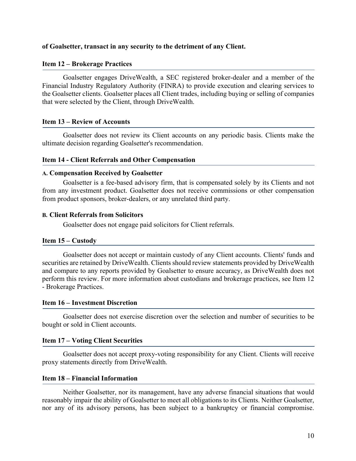## **of Goalsetter, transact in any security to the detriment of any Client.**

### **Item 12 – Brokerage Practices**

Goalsetter engages DriveWealth, a SEC registered broker-dealer and a member of the Financial Industry Regulatory Authority (FINRA) to provide execution and clearing services to the Goalsetter clients. Goalsetter places all Client trades, including buying or selling of companies that were selected by the Client, through DriveWealth.

## **Item 13 – Review of Accounts**

Goalsetter does not review its Client accounts on any periodic basis. Clients make the ultimate decision regarding Goalsetter's recommendation.

### **Item 14 - Client Referrals and Other Compensation**

### **A. Compensation Received by Goalsetter**

Goalsetter is a fee-based advisory firm, that is compensated solely by its Clients and not from any investment product. Goalsetter does not receive commissions or other compensation from product sponsors, broker-dealers, or any unrelated third party.

### **B. Client Referrals from Solicitors**

Goalsetter does not engage paid solicitors for Client referrals.

## **Item 15 – Custody**

Goalsetter does not accept or maintain custody of any Client accounts. Clients' funds and securities are retained by DriveWealth. Clients should review statements provided by DriveWealth and compare to any reports provided by Goalsetter to ensure accuracy, as DriveWealth does not perform this review. For more information about custodians and brokerage practices, see Item 12 - Brokerage Practices.

### **Item 16 – Investment Discretion**

Goalsetter does not exercise discretion over the selection and number of securities to be bought or sold in Client accounts.

### **Item 17 – Voting Client Securities**

Goalsetter does not accept proxy-voting responsibility for any Client. Clients will receive proxy statements directly from DriveWealth.

### **Item 18 – Financial Information**

Neither Goalsetter, nor its management, have any adverse financial situations that would reasonably impair the ability of Goalsetter to meet all obligations to its Clients. Neither Goalsetter, nor any of its advisory persons, has been subject to a bankruptcy or financial compromise.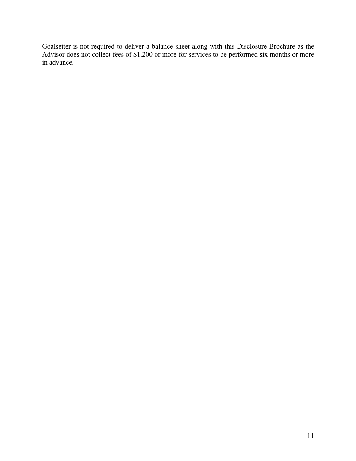Goalsetter is not required to deliver a balance sheet along with this Disclosure Brochure as the Advisor <u>does not</u> collect fees of \$1,200 or more for services to be performed six months or more in advance.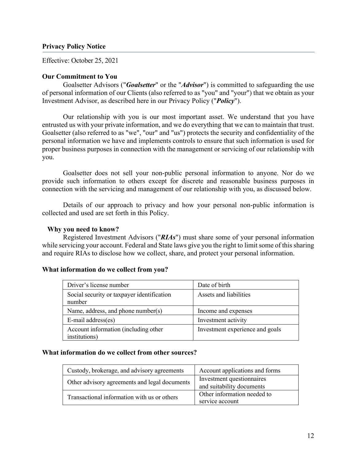# **Privacy Policy Notice**

Effective: October 25, 2021

# **Our Commitment to You**

Goalsetter Advisors ("*Goalsetter*" or the "*Advisor*") is committed to safeguarding the use of personal information of our Clients (also referred to as "you" and "your") that we obtain as your Investment Advisor, as described here in our Privacy Policy ("*Policy*").

Our relationship with you is our most important asset. We understand that you have entrusted us with your private information, and we do everything that we can to maintain that trust. Goalsetter (also referred to as "we", "our" and "us") protects the security and confidentiality of the personal information we have and implements controls to ensure that such information is used for proper business purposes in connection with the management or servicing of our relationship with you.

Goalsetter does not sell your non-public personal information to anyone. Nor do we provide such information to others except for discrete and reasonable business purposes in connection with the servicing and management of our relationship with you, as discussed below.

Details of our approach to privacy and how your personal non-public information is collected and used are set forth in this Policy.

## **Why you need to know?**

Registered Investment Advisors ("*RIAs*") must share some of your personal information while servicing your account. Federal and State laws give you the right to limit some of this sharing and require RIAs to disclose how we collect, share, and protect your personal information.

### **What information do we collect from you?**

| Driver's license number                               | Date of birth                   |
|-------------------------------------------------------|---------------------------------|
| Social security or taxpayer identification<br>number  | Assets and liabilities          |
| Name, address, and phone number(s)                    | Income and expenses             |
| E-mail address(es)                                    | Investment activity             |
| Account information (including other<br>institutions) | Investment experience and goals |

# **What information do we collect from other sources?**

| Custody, brokerage, and advisory agreements   | Account applications and forms                         |
|-----------------------------------------------|--------------------------------------------------------|
| Other advisory agreements and legal documents | Investment questionnaires<br>and suitability documents |
| Transactional information with us or others   | Other information needed to<br>service account         |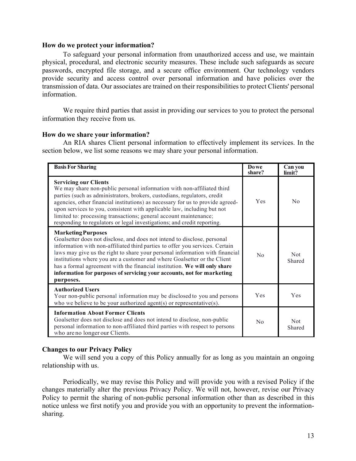## **How do we protect your information?**

To safeguard your personal information from unauthorized access and use, we maintain physical, procedural, and electronic security measures. These include such safeguards as secure passwords, encrypted file storage, and a secure office environment. Our technology vendors provide security and access control over personal information and have policies over the transmission of data. Our associates are trained on their responsibilities to protect Clients' personal information.

We require third parties that assist in providing our services to you to protect the personal information they receive from us.

## **How do we share your information?**

An RIA shares Client personal information to effectively implement its services. In the section below, we list some reasons we may share your personal information.

| <b>Basis For Sharing</b>                                                                                                                                                                                                                                                                                                                                                                                                                                                                                             | Do we<br>share? | Can you<br>limit?    |
|----------------------------------------------------------------------------------------------------------------------------------------------------------------------------------------------------------------------------------------------------------------------------------------------------------------------------------------------------------------------------------------------------------------------------------------------------------------------------------------------------------------------|-----------------|----------------------|
| <b>Servicing our Clients</b><br>We may share non-public personal information with non-affiliated third<br>parties (such as administrators, brokers, custodians, regulators, credit<br>agencies, other financial institutions) as necessary for us to provide agreed-<br>upon services to you, consistent with applicable law, including but not<br>limited to: processing transactions; general account maintenance;<br>responding to regulators or legal investigations; and credit reporting.                      | Yes             | No                   |
| <b>Marketing Purposes</b><br>Goalsetter does not disclose, and does not intend to disclose, personal<br>information with non-affiliated third parties to offer you services. Certain<br>laws may give us the right to share your personal information with financial<br>institutions where you are a customer and where Goalsetter or the Client<br>has a formal agreement with the financial institution. We will only share<br>information for purposes of servicing your accounts, not for marketing<br>purposes. | No              | <b>Not</b><br>Shared |
| <b>Authorized Users</b><br>Your non-public personal information may be disclosed to you and persons<br>who we believe to be your authorized agent(s) or representative(s).                                                                                                                                                                                                                                                                                                                                           | <b>Yes</b>      | Yes                  |
| <b>Information About Former Clients</b><br>Goalsetter does not disclose and does not intend to disclose, non-public<br>personal information to non-affiliated third parties with respect to persons<br>who are no longer our Clients.                                                                                                                                                                                                                                                                                | No              | <b>Not</b><br>Shared |

# **Changes to our Privacy Policy**

We will send you a copy of this Policy annually for as long as you maintain an ongoing relationship with us.

Periodically, we may revise this Policy and will provide you with a revised Policy if the changes materially alter the previous Privacy Policy. We will not, however, revise our Privacy Policy to permit the sharing of non-public personal information other than as described in this notice unless we first notify you and provide you with an opportunity to prevent the informationsharing.